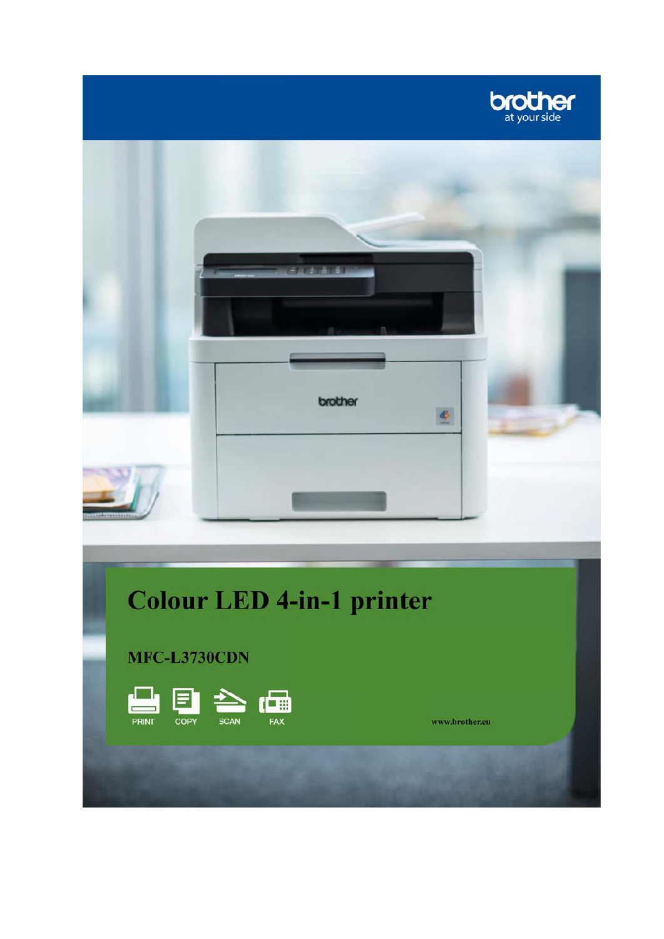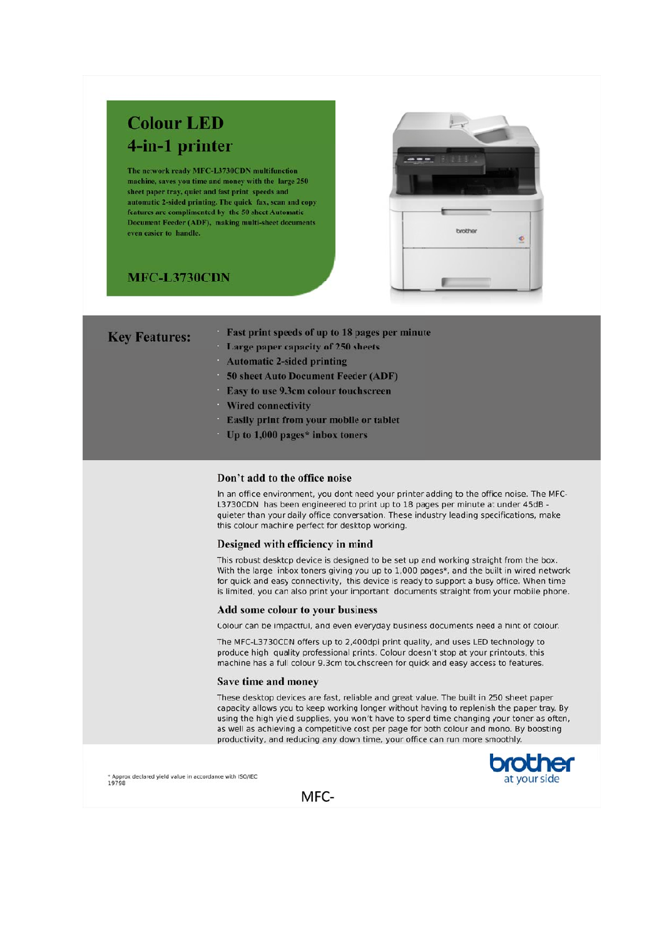# **Colour LED** 4-in-1 printer

The network ready MFC-L3730CDN multifunction machine, saves you time and money with the large 250 sheet paper tray, quiet and fast print speeds and automatic 2-sided printing. The quick fax, scan and copy features are complimented by the 50 sheet Automatic Document Feeder (ADF), making multi-sheet documents even easier to handle.

## **MFC-L3730CDN**

**Key** 



| Features: | <b>Tast print sp</b> |
|-----------|----------------------|
|           | Large paper          |

- capacity of 250 sheets **Automatic 2-sided printing**
- 50 sheet Auto Document Feeder (ADF)

eeds of up to 18 pages per minute

- **Easy to use 9.3cm colour touchscreen**
- **Wired connectivity**
- **Easily print from your mobile or tablet**
- Up to  $1,000$  pages\* inbox toners

### Don't add to the office noise

In an office environment, you dont need your printer adding to the office noise. The MFC-L3730CDN has been engineered to print up to 18 pages per minute at under 45dB quieter than your daily office conversation. These industry leading specifications, make this colour machine perfect for desktop working.

#### Designed with efficiency in mind

This robust desktop device is designed to be set up and working straight from the box. With the large inbox toners giving you up to 1,000 pages\*, and the built in wired network for quick and easy connectivity, this device is ready to support a busy office. When time is limited, you can also print your important documents straight from your mobile phone.

#### Add some colour to your business

Colour can be impactful, and even everyday business documents need a hint of colour.

The MFC-L3730CDN offers up to 2,400dpi print quality, and uses LED technology to produce high quality professional prints. Colour doesn't stop at your printouts, this machine has a full colour 9.3cm touchscreen for quick and easy access to features.

#### Save time and money

These desktop devices are fast, reliable and great value. The built in 250 sheet paper capacity allows you to keep working longer without having to replenish the paper tray. By using the high yield supplies, you won't have to spend time changing your toner as often, as well as achieving a competitive cost per page for both colour and mono. By boosting productivity, and reducing any down time, your office can run more smoothly.





MFC-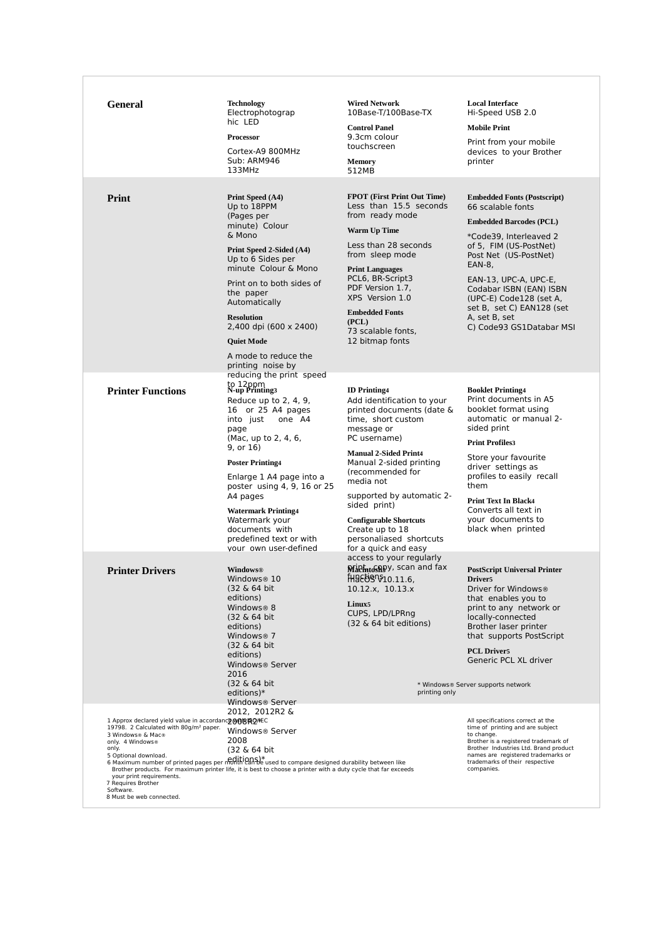| <b>General</b>                                                                                                                                                                                                                                                                  | <b>Technology</b><br>Electrophotograp<br>hic LED<br><b>Processor</b><br>Cortex-A9 800MHz<br>Sub: ARM946<br>133MHz                                                                                                                                                                                                                                                                                | <b>Wired Network</b><br>10Base-T/100Base-TX<br><b>Control Panel</b><br>9.3cm colour<br>touchscreen<br><b>Memory</b><br>512MB                                                                                                                                                                                                                                                       | <b>Local Interface</b><br>Hi-Speed USB 2.0<br><b>Mobile Print</b><br>Print from your mobile<br>devices to your Brother<br>printer                                                                                                                                                                                                         |
|---------------------------------------------------------------------------------------------------------------------------------------------------------------------------------------------------------------------------------------------------------------------------------|--------------------------------------------------------------------------------------------------------------------------------------------------------------------------------------------------------------------------------------------------------------------------------------------------------------------------------------------------------------------------------------------------|------------------------------------------------------------------------------------------------------------------------------------------------------------------------------------------------------------------------------------------------------------------------------------------------------------------------------------------------------------------------------------|-------------------------------------------------------------------------------------------------------------------------------------------------------------------------------------------------------------------------------------------------------------------------------------------------------------------------------------------|
| Print                                                                                                                                                                                                                                                                           | Print Speed (A4)<br>Up to 18PPM<br>(Pages per<br>minute) Colour<br>& Mono<br>Print Speed 2-Sided (A4)<br>Up to 6 Sides per<br>minute Colour & Mono<br>Print on to both sides of<br>the paper<br>Automatically<br><b>Resolution</b><br>2,400 dpi (600 x 2400)<br><b>Ouiet Mode</b><br>A mode to reduce the<br>printing noise by                                                                   | <b>FPOT</b> (First Print Out Time)<br>Less than 15.5 seconds<br>from ready mode<br><b>Warm Up Time</b><br>Less than 28 seconds<br>from sleep mode<br><b>Print Languages</b><br>PCL6, BR-Script3<br>PDF Version 1.7,<br>XPS Version 1.0<br><b>Embedded Fonts</b><br>(PCL)<br>73 scalable fonts,<br>12 bitmap fonts                                                                  | <b>Embedded Fonts (Postscript)</b><br>66 scalable fonts<br><b>Embedded Barcodes (PCL)</b><br>*Code39, Interleaved 2<br>of 5, FIM (US-PostNet)<br>Post Net (US-PostNet)<br>EAN-8,<br>EAN-13, UPC-A, UPC-E,<br>Codabar ISBN (EAN) ISBN<br>(UPC-E) Code128 (set A,<br>set B, set C) EAN128 (set<br>A, set B, set<br>C) Code93 GS1Databar MSI |
| <b>Printer Functions</b>                                                                                                                                                                                                                                                        | reducing the print speed<br>to 12ppm<br>N-up Printing3<br>Reduce up to 2, 4, 9,<br>16 or 25 A4 pages<br>into just<br>one A4<br>page<br>(Mac, up to 2, 4, 6,<br>9, or 16)<br><b>Poster Printing4</b><br>Enlarge 1 A4 page into a<br>poster using 4, 9, 16 or 25<br>A4 pages<br><b>Watermark Printing4</b><br>Watermark your<br>documents with<br>predefined text or with<br>your own user-defined | <b>ID</b> Printing4<br>Add identification to your<br>printed documents (date &<br>time, short custom<br>message or<br>PC username)<br><b>Manual 2-Sided Print4</b><br>Manual 2-sided printing<br>(recommended for<br>media not<br>supported by automatic 2-<br>sided print)<br><b>Configurable Shortcuts</b><br>Create up to 18<br>personaliased shortcuts<br>for a quick and easy | <b>Booklet Printing4</b><br>Print documents in A5<br>booklet format using<br>automatic or manual 2-<br>sided print<br><b>Print Profiles3</b><br>Store your favourite<br>driver settings as<br>profiles to easily recall<br>them<br><b>Print Text In Black4</b><br>Converts all text in<br>your documents to<br>black when printed         |
| <b>Printer Drivers</b>                                                                                                                                                                                                                                                          | <b>Windows®</b><br>Windows® 10<br>(32 & 64 bit)<br>editions)<br>Windows® 8<br>(32 & 64 bit)<br>editions)<br>Windows <sup>®</sup> 7<br>(32 & 64 bit)<br>editions)<br>Windows® Server<br>2016<br>(32 & 64 bit)<br>editions)*                                                                                                                                                                       | access to your regularly<br>Nichtoshpy, scan and fax<br>HARB90-11.6<br>10.12.x, 10.13.x<br>Linux <sub>5</sub><br>CUPS, LPD/LPRng<br>$(32 \& 64 \text{ bit editions})$<br>printing only                                                                                                                                                                                             | <b>PostScript Universal Printer</b><br>Driver <sub>5</sub><br>Driver for Windows®<br>that enables you to<br>print to any network or<br>locally-connected<br>Brother laser printer<br>that supports PostScript<br><b>PCL Driver5</b><br>Generic PCL XL driver<br>* Windows® Server supports network                                        |
| 1 Approx declared yield value in accordancy MOBLONEC<br>19798. 2 Calculated with 80g/m <sup>2</sup> paper.<br>3 Windows® & Mac®<br>only. 4 Windows®<br>only.<br>5 Optional download.<br>your print requirements.<br>7 Requires Brother<br>Software.<br>8 Must be web connected. | Windows® Server<br>2012, 2012R2 &<br>Windows® Server<br>2008<br>(32 & 64 bit<br>5 Optional download.<br>6 Maximum number of printed pages per molth Can be used to compare designed durability between like<br>Brother products. For maximum printer life, it is best to choose a printer with a duty cycle that far exceeds                                                                     |                                                                                                                                                                                                                                                                                                                                                                                    | All specifications correct at the<br>time of printing and are subject<br>to change.<br>Brother is a registered trademark of<br>Brother Industries Ltd. Brand product<br>names are registered trademarks or<br>trademarks of their respective<br>companies.                                                                                |

 $\mathbb{E}$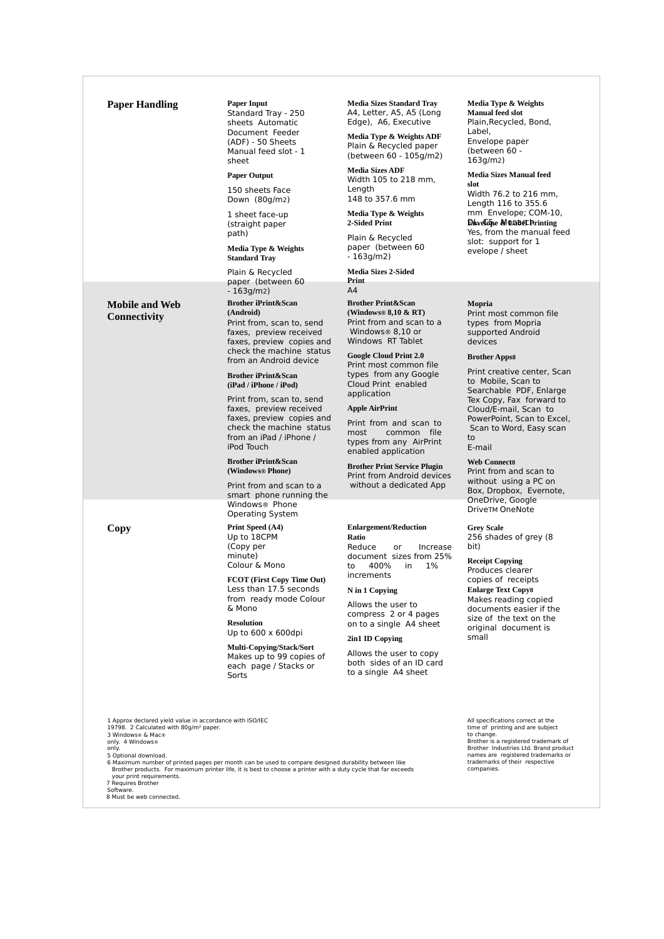| <b>Paper Handling</b>                                                                                                                                                                                                                                                               | <b>Paper Input</b><br>Standard Tray - 250<br>sheets Automatic<br>Document Feeder<br>(ADF) - 50 Sheets<br>Manual feed slot - 1<br>sheet<br><b>Paper Output</b><br>150 sheets Face<br>Down (80g/m2)<br>1 sheet face-up<br>(straight paper<br>path)<br>Media Type & Weights<br><b>Standard Tray</b><br>Plain & Recycled                                | <b>Media Sizes Standard Tray</b><br>A4, Letter, A5, A5 (Long<br>Edge), A6, Executive<br>Media Type & Weights ADF<br>Plain & Recycled paper<br>(between 60 - 105g/m2)<br><b>Media Sizes ADF</b><br>Width 105 to 218 mm,<br>Length<br>148 to 357.6 mm<br>Media Type & Weights<br>2-Sided Print<br>Plain & Recycled<br>paper (between 60<br>$-163q/m2)$<br><b>Media Sizes 2-Sided</b> | Media Type & Weights<br><b>Manual feed slot</b><br>Plain, Recycled, Bond,<br>Label,<br>Envelope paper<br>(between 60 -<br>163q/m2)<br><b>Media Sizes Manual feed</b><br>slot<br>Width 76.2 to 216 mm,<br>Length 116 to 355.6<br>mm Envelope; COM-10,<br><b>Davelope MORBECPrinting</b><br>Yes, from the manual feed<br>slot: support for 1<br>evelope / sheet |
|-------------------------------------------------------------------------------------------------------------------------------------------------------------------------------------------------------------------------------------------------------------------------------------|-----------------------------------------------------------------------------------------------------------------------------------------------------------------------------------------------------------------------------------------------------------------------------------------------------------------------------------------------------|------------------------------------------------------------------------------------------------------------------------------------------------------------------------------------------------------------------------------------------------------------------------------------------------------------------------------------------------------------------------------------|---------------------------------------------------------------------------------------------------------------------------------------------------------------------------------------------------------------------------------------------------------------------------------------------------------------------------------------------------------------|
|                                                                                                                                                                                                                                                                                     | paper (between 60                                                                                                                                                                                                                                                                                                                                   | Print                                                                                                                                                                                                                                                                                                                                                                              |                                                                                                                                                                                                                                                                                                                                                               |
| <b>Mobile and Web</b><br><b>Connectivity</b>                                                                                                                                                                                                                                        | $-163g/m2)$<br><b>Brother iPrint&amp;Scan</b><br>(Android)<br>Print from, scan to, send<br>faxes, preview received<br>faxes, preview copies and<br>check the machine status<br>from an Android device                                                                                                                                               | A4<br><b>Brother Print&amp;Scan</b><br>(Windows® $8,10 \& RT$ )<br>Print from and scan to a<br>Windows <sup>®</sup> 8.10 or<br>Windows RT Tablet<br><b>Google Cloud Print 2.0</b>                                                                                                                                                                                                  | Mopria<br>Print most common file<br>types from Mopria<br>supported Android<br>devices<br><b>Brother Apps8</b>                                                                                                                                                                                                                                                 |
|                                                                                                                                                                                                                                                                                     | <b>Brother iPrint&amp;Scan</b><br>(iPad / iPhone / iPod)<br>Print from, scan to, send<br>faxes, preview received<br>faxes, preview copies and<br>check the machine status<br>from an iPad / iPhone /<br>iPod Touch<br><b>Brother iPrint&amp;Scan</b><br>(Windows® Phone)                                                                            | Print most common file<br>types from any Google<br>Cloud Print enabled<br>application<br><b>Apple AirPrint</b><br>Print from and scan to<br>most<br>common file<br>types from any AirPrint<br>enabled application<br><b>Brother Print Service Plugin</b><br>Print from Android devices                                                                                             | Print creative center, Scan<br>to Mobile, Scan to<br>Searchable PDF, Enlarge<br>Tex Copy, Fax forward to<br>Cloud/E-mail, Scan to<br>PowerPoint, Scan to Excel,<br>Scan to Word, Easy scan<br>to<br>E-mail<br><b>Web Connects</b><br>Print from and scan to                                                                                                   |
|                                                                                                                                                                                                                                                                                     | Print from and scan to a<br>smart phone running the<br>Windows <sup>®</sup> Phone                                                                                                                                                                                                                                                                   | without a dedicated App                                                                                                                                                                                                                                                                                                                                                            | without using a PC on<br>Box, Dropbox, Evernote,<br>OneDrive, Google                                                                                                                                                                                                                                                                                          |
| Copy                                                                                                                                                                                                                                                                                | <b>Operating System</b><br>Print Speed (A4)<br>Up to 18CPM<br>(Copy per<br>minute)<br>Colour & Mono<br>FCOT (First Copy Time Out)<br>Less than 17.5 seconds<br>from ready mode Colour<br>& Mono<br><b>Resolution</b><br>Up to $600 \times 600$ dpi<br><b>Multi-Copying/Stack/Sort</b><br>Makes up to 99 copies of<br>each page / Stacks or<br>Sorts | <b>Enlargement/Reduction</b><br>Ratio<br>Reduce<br>or<br>Increase<br>document sizes from 25%<br>400%<br>in<br>$1\%$<br>to<br>increments<br>N in 1 Copying<br>Allows the user to<br>compress 2 or 4 pages<br>on to a single A4 sheet<br>2in1 ID Copying<br>Allows the user to copy<br>both sides of an ID card<br>to a single A4 sheet                                              | <b>DriveTM OneNote</b><br><b>Grey Scale</b><br>256 shades of grey (8)<br>bit)<br><b>Receipt Copying</b><br>Produces clearer<br>copies of receipts<br><b>Enlarge Text Copy8</b><br>Makes reading copied<br>documents easier if the<br>size of the text on the<br>original document is<br>small                                                                 |
| 1 Approx declared yield value in accordance with ISO/IEC<br>19798. 2 Calculated with 80q/m <sup>2</sup> paper.<br>3 Windows® & Mac®<br>only. 4 Windows®<br>only.<br>5 Optional download.<br>your print requirements.<br>7 Requires Brother<br>Software.<br>8 Must be web connected. | 6 Maximum number of printed pages per month can be used to compare designed durability between like<br>Brother products. For maximum printer life, it is best to choose a printer with a duty cycle that far exceeds                                                                                                                                |                                                                                                                                                                                                                                                                                                                                                                                    | All specifications correct at the<br>time of printing and are subject<br>to change.<br>Brother is a registered trademark of<br>Brother Industries Ltd. Brand product<br>names are registered trademarks or<br>trademarks of their respective<br>companies.                                                                                                    |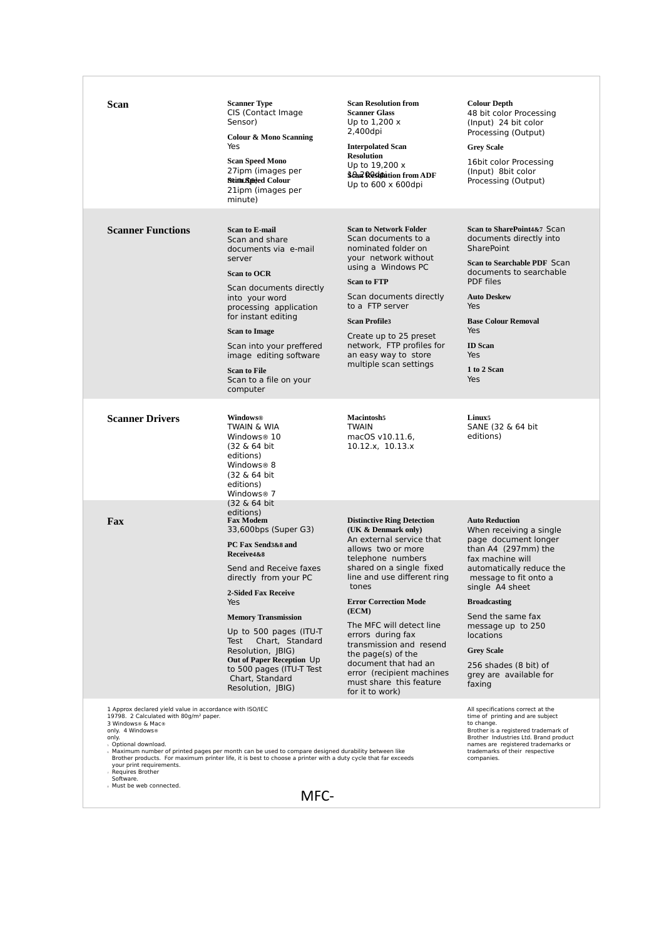| Scan                                                                                                                                                                                                                                                                | <b>Scanner Type</b><br>CIS (Contact Image<br>Sensor)<br>Colour & Mono Scanning<br>Yes<br><b>Scan Speed Mono</b><br>27ipm (images per<br>Scim Speed Colour<br>21ipm (images per<br>minute)                                                                                                                                                                                                                    | <b>Scan Resolution from</b><br><b>Scanner Glass</b><br>Up to $1,200x$<br>2,400dpi<br><b>Interpolated Scan</b><br><b>Resolution</b><br>Up to 19,200 x<br>Sear Resolution from ADF<br>Up to $600 \times 600$ dpi                                                                                                                                                                                                                                    | <b>Colour Depth</b><br>48 bit color Processing<br>(Input) 24 bit color<br>Processing (Output)<br><b>Grey Scale</b><br>16bit color Processing<br>(Input) 8bit color<br>Processing (Output)                                                                                                                                                                   |
|---------------------------------------------------------------------------------------------------------------------------------------------------------------------------------------------------------------------------------------------------------------------|--------------------------------------------------------------------------------------------------------------------------------------------------------------------------------------------------------------------------------------------------------------------------------------------------------------------------------------------------------------------------------------------------------------|---------------------------------------------------------------------------------------------------------------------------------------------------------------------------------------------------------------------------------------------------------------------------------------------------------------------------------------------------------------------------------------------------------------------------------------------------|-------------------------------------------------------------------------------------------------------------------------------------------------------------------------------------------------------------------------------------------------------------------------------------------------------------------------------------------------------------|
| <b>Scanner Functions</b>                                                                                                                                                                                                                                            | <b>Scan to E-mail</b><br>Scan and share<br>documents via e-mail<br>server<br><b>Scan to OCR</b><br>Scan documents directly<br>into your word<br>processing application<br>for instant editing<br><b>Scan to Image</b><br>Scan into your preffered<br>image editing software<br><b>Scan to File</b><br>Scan to a file on your<br>computer                                                                     | <b>Scan to Network Folder</b><br>Scan documents to a<br>nominated folder on<br>your network without<br>using a Windows PC<br><b>Scan to FTP</b><br>Scan documents directly<br>to a FTP server<br><b>Scan Profile3</b><br>Create up to 25 preset<br>network, FTP profiles for<br>an easy way to store<br>multiple scan settings                                                                                                                    | Scan to SharePoint4&7 Scan<br>documents directly into<br>SharePoint<br>Scan to Searchable PDF Scan<br>documents to searchable<br><b>PDF</b> files<br><b>Auto Deskew</b><br>Yes<br><b>Base Colour Removal</b><br>Yes<br><b>ID</b> Scan<br>Yes<br>1 to 2 Scan<br>Yes                                                                                          |
| <b>Scanner Drivers</b>                                                                                                                                                                                                                                              | <b>Windows®</b><br>TWAIN & WIA<br>Windows® 10<br>(32 & 64 bit)<br>editions)<br>Windows <sup>®</sup> 8<br>(32 & 64 bit)<br>editions)<br>Windows <sup>®</sup> 7                                                                                                                                                                                                                                                | <b>Macintosh5</b><br><b>TWAIN</b><br>macOS v10.11.6,<br>10.12.x, 10.13.x                                                                                                                                                                                                                                                                                                                                                                          | Linux <sub>5</sub><br>SANE (32 & 64 bit<br>editions)                                                                                                                                                                                                                                                                                                        |
| Fax                                                                                                                                                                                                                                                                 | (32 & 64 bit)<br>editions)<br><b>Fax Modem</b><br>33,600bps (Super G3)<br>PC Fax Send3&8 and<br>Receive4&8<br>Send and Receive faxes<br>directly from your PC<br><b>2-Sided Fax Receive</b><br>Yes<br><b>Memory Transmission</b><br>Up to 500 pages (ITU-T)<br>Chart, Standard<br>Test<br>Resolution, JBIG)<br>Out of Paper Reception Up<br>to 500 pages (ITU-T Test<br>Chart, Standard<br>Resolution, JBIG) | <b>Distinctive Ring Detection</b><br>(UK & Denmark only)<br>An external service that<br>allows two or more<br>telephone numbers<br>shared on a single fixed<br>line and use different ring<br>tones<br><b>Error Correction Mode</b><br>(ECM)<br>The MFC will detect line<br>errors during fax<br>transmission and resend<br>the page(s) of the<br>document that had an<br>error (recipient machines<br>must share this feature<br>for it to work) | <b>Auto Reduction</b><br>When receiving a single<br>page document longer<br>than A4 (297mm) the<br>fax machine will<br>automatically reduce the<br>message to fit onto a<br>single A4 sheet<br><b>Broadcasting</b><br>Send the same fax<br>message up to 250<br>locations<br><b>Grey Scale</b><br>256 shades (8 bit) of<br>grey are available for<br>faxing |
| 1 Approx declared yield value in accordance with ISO/IEC<br>19798. 2 Calculated with 80g/m <sup>2</sup> paper.<br>3 Windows® & Mac®<br>only. 4 Windows®<br>only.<br>s Optional download.<br>$\epsilon$<br>your print requirements.<br>Requires Brother<br>Software. | Maximum number of printed pages per month can be used to compare designed durability between like<br>Brother products. For maximum printer life, it is best to choose a printer with a duty cycle that far exceeds                                                                                                                                                                                           |                                                                                                                                                                                                                                                                                                                                                                                                                                                   | All specifications correct at the<br>time of printing and are subject<br>to change.<br>Brother is a registered trademark of<br>Brother Industries Ltd. Brand product<br>names are registered trademarks or<br>trademarks of their respective<br>companies.                                                                                                  |
| <b>Must be web connected.</b>                                                                                                                                                                                                                                       | MFC-                                                                                                                                                                                                                                                                                                                                                                                                         |                                                                                                                                                                                                                                                                                                                                                                                                                                                   |                                                                                                                                                                                                                                                                                                                                                             |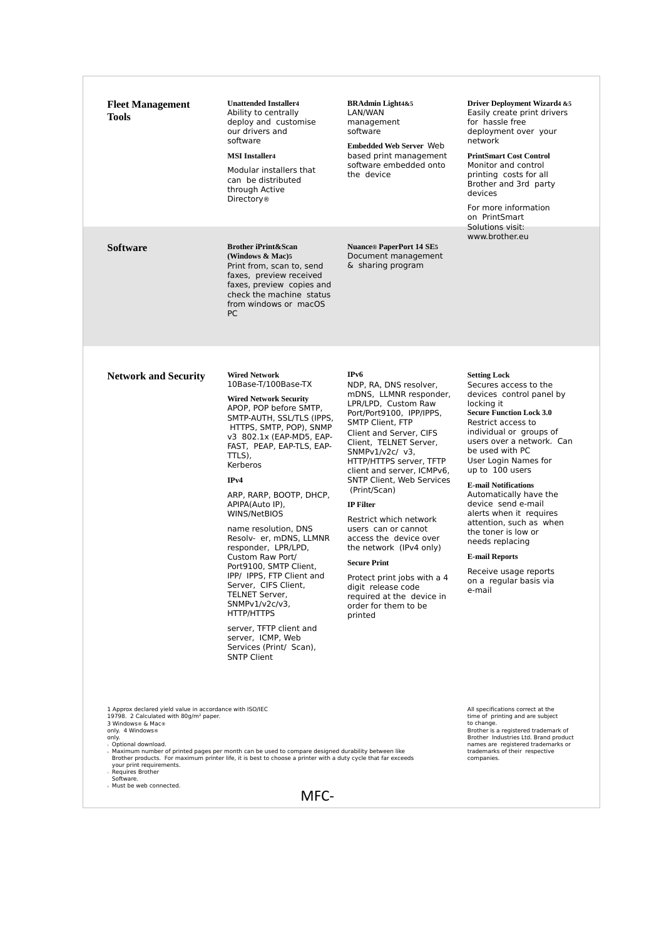| www.brother.eu<br><b>Brother iPrint&amp;Scan</b><br><b>Nuance® PaperPort 14 SE5</b><br><b>Software</b><br>Document management<br>(Windows & Mac)5<br>Print from, scan to, send<br>& sharing program<br>faxes, preview received<br>faxes, preview copies and<br>check the machine status<br>from windows or macOS<br><b>PC</b><br><b>Network and Security</b><br><b>Wired Network</b><br>IP <sub>v6</sub><br><b>Setting Lock</b><br>10Base-T/100Base-TX<br>NDP, RA, DNS resolver,<br>Secures access to the<br>mDNS, LLMNR responder,<br>devices control panel by<br><b>Wired Network Security</b><br>LPR/LPD, Custom Raw<br>locking it<br>APOP, POP before SMTP,<br><b>Secure Function Lock 3.0</b><br>Port/Port9100, IPP/IPPS,<br>SMTP-AUTH, SSL/TLS (IPPS,<br><b>SMTP Client, FTP</b><br>Restrict access to<br>HTTPS, SMTP, POP), SNMP<br>individual or groups of<br>Client and Server, CIFS<br>v3 802.1x (EAP-MD5, EAP-<br>users over a network. Can<br>Client, TELNET Server,<br>FAST, PEAP, EAP-TLS, EAP-<br>be used with PC<br>SNMP $v1/v2c/v3$ ,<br>TTLS),<br>User Login Names for<br>HTTP/HTTPS server, TFTP<br>Kerberos<br>up to 100 users<br>client and server, ICMPv6,<br>IPv4<br><b>SNTP Client, Web Services</b><br><b>E-mail Notifications</b><br>(Print/Scan)<br>Automatically have the<br>ARP, RARP, BOOTP, DHCP,<br>device send e-mail<br>APIPA(Auto IP),<br><b>IP Filter</b><br>alerts when it requires<br>WINS/NetBIOS<br>Restrict which network<br>attention, such as when<br>name resolution, DNS<br>users can or cannot<br>the toner is low or<br>Resolv- er, mDNS, LLMNR<br>access the device over<br>needs replacing<br>responder, LPR/LPD,<br>the network (IPv4 only)<br><b>E-mail Reports</b><br>Custom Raw Port/<br><b>Secure Print</b><br>Port9100. SMTP Client.<br>Receive usage reports<br>IPP/ IPPS, FTP Client and<br>Protect print jobs with a 4<br>on a regular basis via<br>Server, CIFS Client,<br>digit release code<br>e-mail<br><b>TELNET Server,</b><br>required at the device in<br>$SNMPv1/v2c/v3$ ,<br>order for them to be<br>HTTP/HTTPS<br>printed<br>server, TFTP client and<br>server, ICMP, Web<br>Services (Print/ Scan),<br><b>SNTP Client</b><br>1 Approx declared yield value in accordance with ISO/IEC<br>All specifications correct at the<br>19798. 2 Calculated with 80g/m <sup>2</sup> paper.<br>time of printing and are subject<br>to change.<br>3 Windows® & Mac®<br>only. 4 Windows®<br>Brother is a registered trademark of<br>only.<br>Brother Industries Ltd. Brand product<br>names are registered trademarks or<br>s Optional download.<br>trademarks of their respective<br>Maximum number of printed pages per month can be used to compare designed durability between like<br>Brother products. For maximum printer life, it is best to choose a printer with a duty cycle that far exceeds<br>companies.<br>your print requirements.<br>Requires Brother<br>Software. | <b>Fleet Management</b><br><b>Tools</b> | <b>Unattended Installer4</b><br>Ability to centrally<br>deploy and customise<br>our drivers and<br>software<br><b>MSI</b> Installer4<br>Modular installers that<br>can be distributed<br>through Active<br><b>Directory</b> <sup>®</sup> | <b>BRAdmin Light4&amp;5</b><br>LAN/WAN<br>management<br>software<br><b>Embedded Web Server Web</b><br>based print management<br>software embedded onto<br>the device | Driver Deployment Wizard4 &5<br>Easily create print drivers<br>for hassle free<br>deployment over your<br>network<br><b>PrintSmart Cost Control</b><br>Monitor and control<br>printing costs for all<br>Brother and 3rd party<br>devices<br>For more information<br>on PrintSmart<br>Solutions visit: |
|----------------------------------------------------------------------------------------------------------------------------------------------------------------------------------------------------------------------------------------------------------------------------------------------------------------------------------------------------------------------------------------------------------------------------------------------------------------------------------------------------------------------------------------------------------------------------------------------------------------------------------------------------------------------------------------------------------------------------------------------------------------------------------------------------------------------------------------------------------------------------------------------------------------------------------------------------------------------------------------------------------------------------------------------------------------------------------------------------------------------------------------------------------------------------------------------------------------------------------------------------------------------------------------------------------------------------------------------------------------------------------------------------------------------------------------------------------------------------------------------------------------------------------------------------------------------------------------------------------------------------------------------------------------------------------------------------------------------------------------------------------------------------------------------------------------------------------------------------------------------------------------------------------------------------------------------------------------------------------------------------------------------------------------------------------------------------------------------------------------------------------------------------------------------------------------------------------------------------------------------------------------------------------------------------------------------------------------------------------------------------------------------------------------------------------------------------------------------------------------------------------------------------------------------------------------------------------------------------------------------------------------------------------------------------------------------------------------------------------------------------------------------------------------------------------------------------------------------------------------------------------------------------------------------------------------------|-----------------------------------------|------------------------------------------------------------------------------------------------------------------------------------------------------------------------------------------------------------------------------------------|----------------------------------------------------------------------------------------------------------------------------------------------------------------------|-------------------------------------------------------------------------------------------------------------------------------------------------------------------------------------------------------------------------------------------------------------------------------------------------------|
|                                                                                                                                                                                                                                                                                                                                                                                                                                                                                                                                                                                                                                                                                                                                                                                                                                                                                                                                                                                                                                                                                                                                                                                                                                                                                                                                                                                                                                                                                                                                                                                                                                                                                                                                                                                                                                                                                                                                                                                                                                                                                                                                                                                                                                                                                                                                                                                                                                                                                                                                                                                                                                                                                                                                                                                                                                                                                                                                              |                                         |                                                                                                                                                                                                                                          |                                                                                                                                                                      |                                                                                                                                                                                                                                                                                                       |
|                                                                                                                                                                                                                                                                                                                                                                                                                                                                                                                                                                                                                                                                                                                                                                                                                                                                                                                                                                                                                                                                                                                                                                                                                                                                                                                                                                                                                                                                                                                                                                                                                                                                                                                                                                                                                                                                                                                                                                                                                                                                                                                                                                                                                                                                                                                                                                                                                                                                                                                                                                                                                                                                                                                                                                                                                                                                                                                                              |                                         |                                                                                                                                                                                                                                          |                                                                                                                                                                      |                                                                                                                                                                                                                                                                                                       |
| MFC-                                                                                                                                                                                                                                                                                                                                                                                                                                                                                                                                                                                                                                                                                                                                                                                                                                                                                                                                                                                                                                                                                                                                                                                                                                                                                                                                                                                                                                                                                                                                                                                                                                                                                                                                                                                                                                                                                                                                                                                                                                                                                                                                                                                                                                                                                                                                                                                                                                                                                                                                                                                                                                                                                                                                                                                                                                                                                                                                         | <b>Must be web connected.</b>           |                                                                                                                                                                                                                                          |                                                                                                                                                                      |                                                                                                                                                                                                                                                                                                       |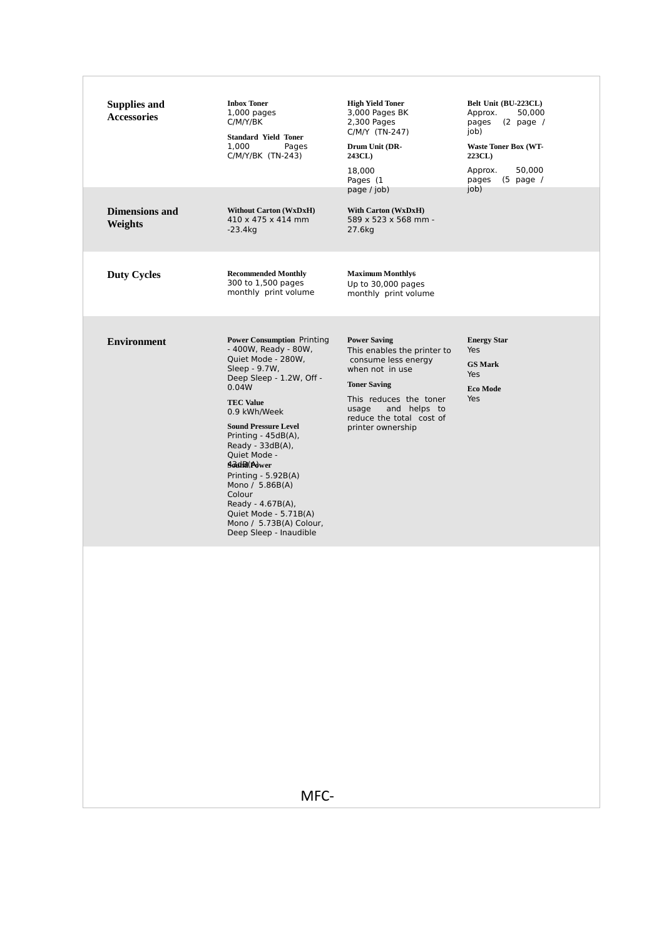| <b>Recommended Monthly</b><br><b>Maximum Monthly6</b><br><b>Duty Cycles</b><br>300 to 1,500 pages<br>Up to 30,000 pages<br>monthly print volume<br>monthly print volume                                                                                                                                                                                                                                                                                                                                                                                                                                                                                                                                                                                                       |  |
|-------------------------------------------------------------------------------------------------------------------------------------------------------------------------------------------------------------------------------------------------------------------------------------------------------------------------------------------------------------------------------------------------------------------------------------------------------------------------------------------------------------------------------------------------------------------------------------------------------------------------------------------------------------------------------------------------------------------------------------------------------------------------------|--|
|                                                                                                                                                                                                                                                                                                                                                                                                                                                                                                                                                                                                                                                                                                                                                                               |  |
| <b>Power Consumption Printing</b><br><b>Power Saving</b><br><b>Energy Star</b><br><b>Environment</b><br>- 400W, Ready - 80W,<br>This enables the printer to<br>Yes<br>Quiet Mode - 280W,<br>consume less energy<br><b>GS Mark</b><br>Sleep - 9.7W,<br>when not in use<br>Yes<br>Deep Sleep - 1.2W, Off -<br><b>Toner Saving</b><br>0.04W<br><b>Eco Mode</b><br>This reduces the toner<br>Yes<br><b>TEC Value</b><br>and helps to<br>usage<br>0.9 kWh/Week<br>reduce the total cost of<br><b>Sound Pressure Level</b><br>printer ownership<br>Printing - 45dB(A),<br>Ready - $33dB(A)$ ,<br>Quiet Mode -<br>Sodia(Adwer<br>Printing - 5.92B(A)<br>Mono / 5.86B(A)<br>Colour<br>Ready - 4.67B(A),<br>Quiet Mode - 5.71B(A)<br>Mono / 5.73B(A) Colour,<br>Deep Sleep - Inaudible |  |
| MFC-                                                                                                                                                                                                                                                                                                                                                                                                                                                                                                                                                                                                                                                                                                                                                                          |  |